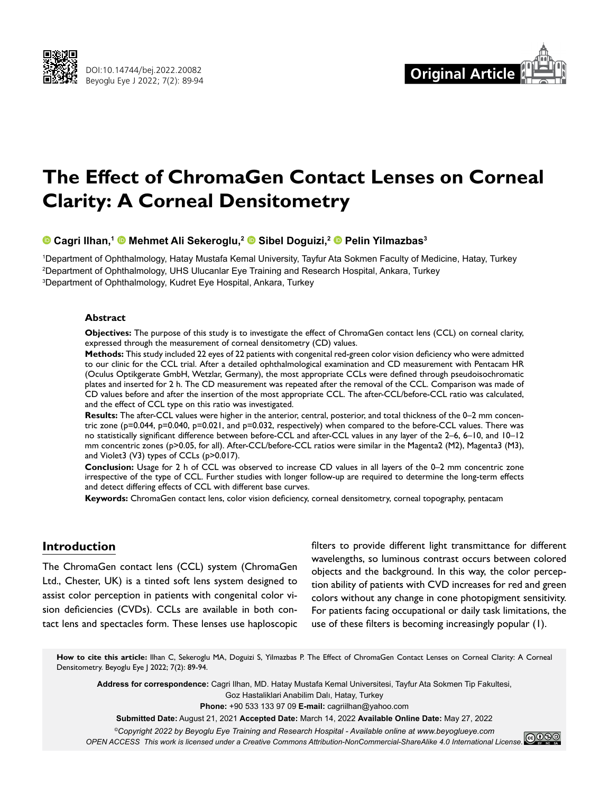



# **The Effect of ChromaGen Contact Lenses on Corneal Clarity: A Corneal Densitometry**

### **Cagri Ilhan,1Mehmet Ali Sekeroglu,2Sibel Doguizi,2Pelin Yilmazbas3**

1 Department of Ophthalmology, Hatay Mustafa Kemal University, Tayfur Ata Sokmen Faculty of Medicine, Hatay, Turkey 2 Department of Ophthalmology, UHS Ulucanlar Eye Training and Research Hospital, Ankara, Turkey 3 Department of Ophthalmology, Kudret Eye Hospital, Ankara, Turkey

#### **Abstract**

**Objectives:** The purpose of this study is to investigate the effect of ChromaGen contact lens (CCL) on corneal clarity, expressed through the measurement of corneal densitometry (CD) values.

**Methods:** This study included 22 eyes of 22 patients with congenital red-green color vision deficiency who were admitted to our clinic for the CCL trial. After a detailed ophthalmological examination and CD measurement with Pentacam HR (Oculus Optikgerate GmbH, Wetzlar, Germany), the most appropriate CCLs were defined through pseudoisochromatic plates and inserted for 2 h. The CD measurement was repeated after the removal of the CCL. Comparison was made of CD values before and after the insertion of the most appropriate CCL. The after-CCL/before-CCL ratio was calculated, and the effect of CCL type on this ratio was investigated.

**Results:** The after-CCL values were higher in the anterior, central, posterior, and total thickness of the 0–2 mm concentric zone (p=0.044, p=0.040, p=0.021, and p=0.032, respectively) when compared to the before-CCL values. There was no statistically significant difference between before-CCL and after-CCL values in any layer of the 2–6, 6–10, and 10–12 mm concentric zones (p>0.05, for all). After-CCL/before-CCL ratios were similar in the Magenta2 (M2), Magenta3 (M3), and Violet3 (V3) types of CCLs (p>0.017).

**Conclusion:** Usage for 2 h of CCL was observed to increase CD values in all layers of the 0–2 mm concentric zone irrespective of the type of CCL. Further studies with longer follow-up are required to determine the long-term effects and detect differing effects of CCL with different base curves.

**Keywords:** ChromaGen contact lens, color vision deficiency, corneal densitometry, corneal topography, pentacam

# **Introduction**

The ChromaGen contact lens (CCL) system (ChromaGen Ltd., Chester, UK) is a tinted soft lens system designed to assist color perception in patients with congenital color vision deficiencies (CVDs). CCLs are available in both contact lens and spectacles form. These lenses use haploscopic

filters to provide different light transmittance for different wavelengths, so luminous contrast occurs between colored objects and the background. In this way, the color perception ability of patients with CVD increases for red and green colors without any change in cone photopigment sensitivity. For patients facing occupational or daily task limitations, the use of these filters is becoming increasingly popular (1).

How to cite this article: Ilhan C, Sekeroglu MA, Doguizi S, Yilmazbas P. The Effect of ChromaGen Contact Lenses on Corneal Clarity: A Corneal Densitometry. Beyoglu Eye J 2022; 7(2): 89-94.

**Address for correspondence:** Cagri Ilhan, MD. Hatay Mustafa Kemal Universitesi, Tayfur Ata Sokmen Tip Fakultesi, Goz Hastaliklari Anabilim Dalı, Hatay, Turkey

**Phone:** +90 533 133 97 09 **E-mail:** cagriilhan@yahoo.com

**Submitted Date:** August 21, 2021 **Accepted Date:** March 14, 2022 **Available Online Date:** May 27, 2022

*©Copyright 2022 by Beyoglu Eye Training and Research Hospital - Available online at www.beyoglueye.com*

*OPEN ACCESS This work is licensed under a Creative Commons Attribution-NonCommercial-ShareAlike 4.0 International License.*<br>OPEN ACCESS This work is licensed under a Creative Commons Attribution-NonCommercial-ShareAlike 4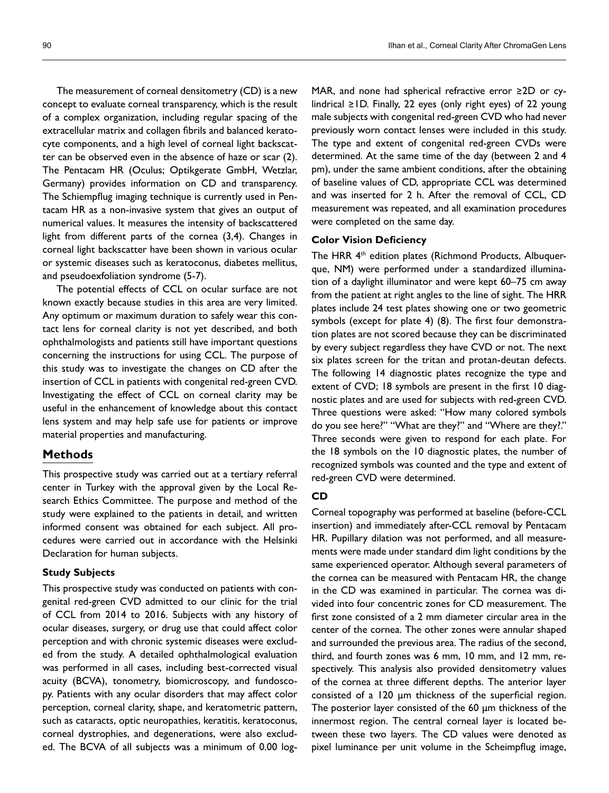The measurement of corneal densitometry (CD) is a new concept to evaluate corneal transparency, which is the result of a complex organization, including regular spacing of the extracellular matrix and collagen fibrils and balanced keratocyte components, and a high level of corneal light backscatter can be observed even in the absence of haze or scar (2). The Pentacam HR (Oculus; Optikgerate GmbH, Wetzlar, Germany) provides information on CD and transparency. The Schiempflug imaging technique is currently used in Pentacam HR as a non-invasive system that gives an output of numerical values. It measures the intensity of backscattered light from different parts of the cornea (3,4). Changes in corneal light backscatter have been shown in various ocular or systemic diseases such as keratoconus, diabetes mellitus, and pseudoexfoliation syndrome (5-7).

The potential effects of CCL on ocular surface are not known exactly because studies in this area are very limited. Any optimum or maximum duration to safely wear this contact lens for corneal clarity is not yet described, and both ophthalmologists and patients still have important questions concerning the instructions for using CCL. The purpose of this study was to investigate the changes on CD after the insertion of CCL in patients with congenital red-green CVD. Investigating the effect of CCL on corneal clarity may be useful in the enhancement of knowledge about this contact lens system and may help safe use for patients or improve material properties and manufacturing.

# **Methods**

This prospective study was carried out at a tertiary referral center in Turkey with the approval given by the Local Research Ethics Committee. The purpose and method of the study were explained to the patients in detail, and written informed consent was obtained for each subject. All procedures were carried out in accordance with the Helsinki Declaration for human subjects.

#### **Study Subjects**

This prospective study was conducted on patients with congenital red-green CVD admitted to our clinic for the trial of CCL from 2014 to 2016. Subjects with any history of ocular diseases, surgery, or drug use that could affect color perception and with chronic systemic diseases were excluded from the study. A detailed ophthalmological evaluation was performed in all cases, including best-corrected visual acuity (BCVA), tonometry, biomicroscopy, and fundoscopy. Patients with any ocular disorders that may affect color perception, corneal clarity, shape, and keratometric pattern, such as cataracts, optic neuropathies, keratitis, keratoconus, corneal dystrophies, and degenerations, were also excluded. The BCVA of all subjects was a minimum of 0.00 logMAR, and none had spherical refractive error ≥2D or cylindrical ≥1D. Finally, 22 eyes (only right eyes) of 22 young male subjects with congenital red-green CVD who had never previously worn contact lenses were included in this study. The type and extent of congenital red-green CVDs were determined. At the same time of the day (between 2 and 4 pm), under the same ambient conditions, after the obtaining of baseline values of CD, appropriate CCL was determined and was inserted for 2 h. After the removal of CCL, CD measurement was repeated, and all examination procedures were completed on the same day.

#### **Color Vision Deficiency**

The HRR 4th edition plates (Richmond Products, Albuquerque, NM) were performed under a standardized illumination of a daylight illuminator and were kept 60–75 cm away from the patient at right angles to the line of sight. The HRR plates include 24 test plates showing one or two geometric symbols (except for plate 4) (8). The first four demonstration plates are not scored because they can be discriminated by every subject regardless they have CVD or not. The next six plates screen for the tritan and protan-deutan defects. The following 14 diagnostic plates recognize the type and extent of CVD; 18 symbols are present in the first 10 diagnostic plates and are used for subjects with red-green CVD. Three questions were asked: "How many colored symbols do you see here?" "What are they?" and "Where are they?." Three seconds were given to respond for each plate. For the 18 symbols on the 10 diagnostic plates, the number of recognized symbols was counted and the type and extent of red-green CVD were determined.

#### **CD**

Corneal topography was performed at baseline (before-CCL insertion) and immediately after-CCL removal by Pentacam HR. Pupillary dilation was not performed, and all measurements were made under standard dim light conditions by the same experienced operator. Although several parameters of the cornea can be measured with Pentacam HR, the change in the CD was examined in particular. The cornea was divided into four concentric zones for CD measurement. The first zone consisted of a 2 mm diameter circular area in the center of the cornea. The other zones were annular shaped and surrounded the previous area. The radius of the second, third, and fourth zones was 6 mm, 10 mm, and 12 mm, respectively. This analysis also provided densitometry values of the cornea at three different depths. The anterior layer consisted of a 120 μm thickness of the superficial region. The posterior layer consisted of the 60 μm thickness of the innermost region. The central corneal layer is located between these two layers. The CD values were denoted as pixel luminance per unit volume in the Scheimpflug image,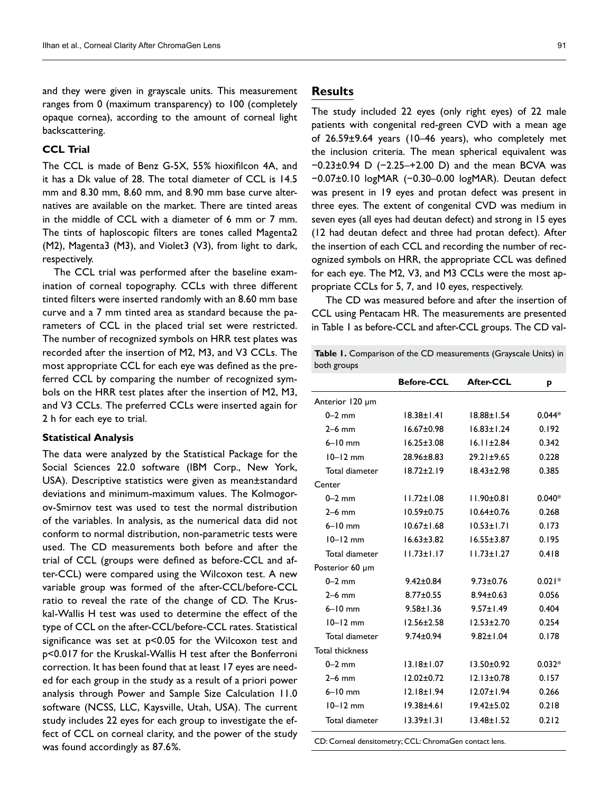and they were given in grayscale units. This measurement ranges from 0 (maximum transparency) to 100 (completely opaque cornea), according to the amount of corneal light backscattering.

## **CCL Trial**

The CCL is made of Benz G-5X, 55% hioxifilcon 4A, and it has a Dk value of 28. The total diameter of CCL is 14.5 mm and 8.30 mm, 8.60 mm, and 8.90 mm base curve alternatives are available on the market. There are tinted areas in the middle of CCL with a diameter of 6 mm or 7 mm. The tints of haploscopic filters are tones called Magenta2 (M2), Magenta3 (M3), and Violet3 (V3), from light to dark, respectively.

The CCL trial was performed after the baseline examination of corneal topography. CCLs with three different tinted filters were inserted randomly with an 8.60 mm base curve and a 7 mm tinted area as standard because the parameters of CCL in the placed trial set were restricted. The number of recognized symbols on HRR test plates was recorded after the insertion of M2, M3, and V3 CCLs. The most appropriate CCL for each eye was defined as the preferred CCL by comparing the number of recognized symbols on the HRR test plates after the insertion of M2, M3, and V3 CCLs. The preferred CCLs were inserted again for 2 h for each eye to trial.

#### **Statistical Analysis**

The data were analyzed by the Statistical Package for the Social Sciences 22.0 software (IBM Corp., New York, USA). Descriptive statistics were given as mean±standard deviations and minimum-maximum values. The Kolmogorov-Smirnov test was used to test the normal distribution of the variables. In analysis, as the numerical data did not conform to normal distribution, non-parametric tests were used. The CD measurements both before and after the trial of CCL (groups were defined as before-CCL and after-CCL) were compared using the Wilcoxon test. A new variable group was formed of the after-CCL/before-CCL ratio to reveal the rate of the change of CD. The Kruskal-Wallis H test was used to determine the effect of the type of CCL on the after-CCL/before-CCL rates. Statistical significance was set at p<0.05 for the Wilcoxon test and p<0.017 for the Kruskal-Wallis H test after the Bonferroni correction. It has been found that at least 17 eyes are needed for each group in the study as a result of a priori power analysis through Power and Sample Size Calculation 11.0 software (NCSS, LLC, Kaysville, Utah, USA). The current study includes 22 eyes for each group to investigate the effect of CCL on corneal clarity, and the power of the study was found accordingly as 87.6%.

# **Results**

The study included 22 eyes (only right eyes) of 22 male patients with congenital red-green CVD with a mean age of 26.59±9.64 years (10–46 years), who completely met the inclusion criteria. The mean spherical equivalent was −0.23±0.94 D (−2.25–+2.00 D) and the mean BCVA was −0.07±0.10 logMAR (−0.30–0.00 logMAR). Deutan defect was present in 19 eyes and protan defect was present in three eyes. The extent of congenital CVD was medium in seven eyes (all eyes had deutan defect) and strong in 15 eyes (12 had deutan defect and three had protan defect). After the insertion of each CCL and recording the number of recognized symbols on HRR, the appropriate CCL was defined for each eye. The M2, V3, and M3 CCLs were the most appropriate CCLs for 5, 7, and 10 eyes, respectively.

The CD was measured before and after the insertion of CCL using Pentacam HR. The measurements are presented in Table 1 as before-CCL and after-CCL groups. The CD val-

**Table 1.** Comparison of the CD measurements (Grayscale Units) in both groups

|                        | <b>Before-CCL</b> | <b>After-CCL</b> | p        |
|------------------------|-------------------|------------------|----------|
| Anterior 120 µm        |                   |                  |          |
| $0-2$ mm               | $18.38 \pm 1.41$  | $18.88 \pm 1.54$ | $0.044*$ |
| $2-6$ mm               | $16.67 \pm 0.98$  | $16.83 \pm 1.24$ | 0.192    |
| $6-10$ mm              | $16.25 \pm 3.08$  | $16.11 \pm 2.84$ | 0.342    |
| $10 - 12$ mm           | $28.96 \pm 8.83$  | $29.21 \pm 9.65$ | 0.228    |
| Total diameter         | $18.72 + 2.19$    | $18.43 \pm 2.98$ | 0.385    |
| Center                 |                   |                  |          |
| $0-2$ mm               | $11.72 \pm 1.08$  | $11.90 \pm 0.81$ | $0.040*$ |
| $2-6$ mm               | $10.59 \pm 0.75$  | $10.64 \pm 0.76$ | 0.268    |
| $6-10$ mm              | $10.67 \pm 1.68$  | $10.53 \pm 1.71$ | 0.173    |
| $10-12$ mm             | $16.63 \pm 3.82$  | $16.55 \pm 3.87$ | 0.195    |
| Total diameter         | $11.73 \pm 1.17$  | $11.73 \pm 1.27$ | 0.418    |
| Posterior 60 µm        |                   |                  |          |
| $0-2$ mm               | $9.42 \pm 0.84$   | $9.73 \pm 0.76$  | $0.021*$ |
| $2-6$ mm               | $8.77 \pm 0.55$   | $8.94 \pm 0.63$  | 0.056    |
| $6-10$ mm              | $9.58 \pm 1.36$   | $9.57 \pm 1.49$  | 0.404    |
| $10 - 12$ mm           | $12.56 \pm 2.58$  | $12.53 \pm 2.70$ | 0.254    |
| Total diameter         | $9.74 \pm 0.94$   | $9.82 \pm 1.04$  | 0.178    |
| <b>Total thickness</b> |                   |                  |          |
| $0-2$ mm               | $13.18 \pm 1.07$  | $13.50 + 0.92$   | $0.032*$ |
| $2-6$ mm               | $12.02 \pm 0.72$  | $12.13 \pm 0.78$ | 0.157    |
| $6-10$ mm              | $12.18 \pm 1.94$  | $12.07 \pm 1.94$ | 0.266    |
| $10 - 12$ mm           | $19.38 + 4.61$    | $19.42 \pm 5.02$ | 0.218    |
| Total diameter         | $13.39 + 1.31$    | $13.48 + 1.52$   | 0.212    |

CD: Corneal densitometry; CCL: ChromaGen contact lens.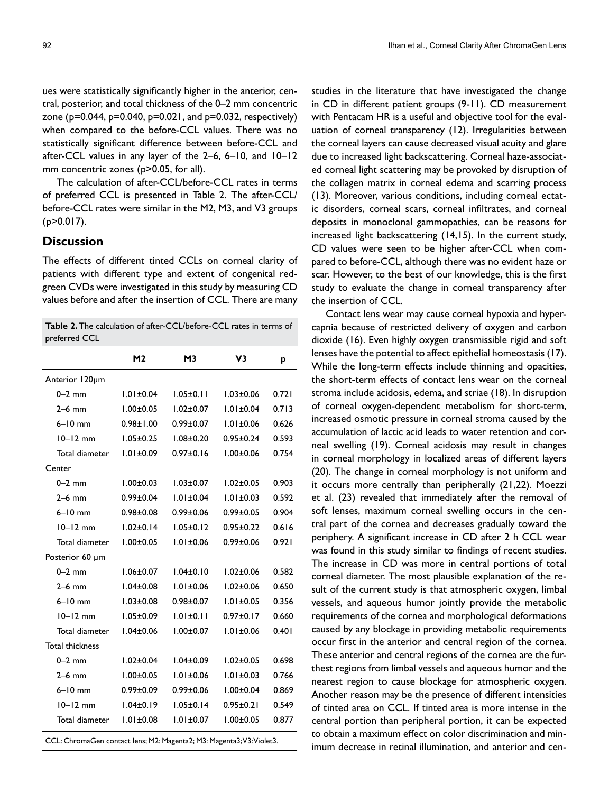ues were statistically significantly higher in the anterior, central, posterior, and total thickness of the 0–2 mm concentric zone (p=0.044, p=0.040, p=0.021, and p=0.032, respectively) when compared to the before-CCL values. There was no statistically significant difference between before-CCL and after-CCL values in any layer of the 2–6, 6–10, and 10–12 mm concentric zones (p>0.05, for all).

The calculation of after-CCL/before-CCL rates in terms of preferred CCL is presented in Table 2. The after-CCL/ before-CCL rates were similar in the M2, M3, and V3 groups  $(p>0.017)$ .

# **Discussion**

The effects of different tinted CCLs on corneal clarity of patients with different type and extent of congenital redgreen CVDs were investigated in this study by measuring CD values before and after the insertion of CCL. There are many

| <b>Table 2.</b> The calculation of after-CCL/before-CCL rates in terms of |  |
|---------------------------------------------------------------------------|--|
| preferred CCL                                                             |  |

|                 | M <sub>2</sub>  | М3              | V3              | p     |
|-----------------|-----------------|-----------------|-----------------|-------|
| Anterior 120um  |                 |                 |                 |       |
| $0-2$ mm        | $1.01 \pm 0.04$ | $1.05 \pm 0.11$ | $1.03 \pm 0.06$ | 0.721 |
| $2-6$ mm        | $1.00 \pm 0.05$ | $1.02 \pm 0.07$ | $1.01 \pm 0.04$ | 0.713 |
| $6-10$ mm       | $0.98 + 1.00$   | $0.99 + 0.07$   | $1.01 \pm 0.06$ | 0.626 |
| $10 - 12$ mm    | $1.05 \pm 0.25$ | $1.08 + 0.20$   | $0.95 \pm 0.24$ | 0.593 |
| Total diameter  | $1.01 \pm 0.09$ | $0.97 + 0.16$   | $1.00 + 0.06$   | 0.754 |
| Center          |                 |                 |                 |       |
| $0-2$ mm        | $1.00 \pm 0.03$ | $1.03 \pm 0.07$ | $1.02 \pm 0.05$ | 0.903 |
| $2-6$ mm        | $0.99 \pm 0.04$ | $1.01 \pm 0.04$ | $1.01 \pm 0.03$ | 0.592 |
| $6-10$ mm       | $0.98 + 0.08$   | $0.99 + 0.06$   | $0.99 + 0.05$   | 0.904 |
| $10 - 12$ mm    | $1.02 \pm 0.14$ | $1.05 \pm 0.12$ | $0.95 \pm 0.22$ | 0.616 |
| Total diameter  | $1.00 \pm 0.05$ | $1.01 \pm 0.06$ | $0.99 + 0.06$   | 0.921 |
| Posterior 60 µm |                 |                 |                 |       |
| $0-2$ mm        | $1.06 \pm 0.07$ | $1.04 \pm 0.10$ | $1.02 \pm 0.06$ | 0.582 |
| $2-6$ mm        | $1.04 \pm 0.08$ | $1.01 \pm 0.06$ | $1.02 \pm 0.06$ | 0.650 |
| $6-10$ mm       | $1.03 \pm 0.08$ | $0.98 + 0.07$   | $1.01 \pm 0.05$ | 0.356 |
| $10 - 12$ mm    | $1.05 \pm 0.09$ | $1.01 \pm 0.11$ | $0.97 \pm 0.17$ | 0.660 |
| Total diameter  | $1.04 \pm 0.06$ | $1.00 \pm 0.07$ | $1.01 \pm 0.06$ | 0.401 |
| Total thickness |                 |                 |                 |       |
| $0-2$ mm        | $1.02 \pm 0.04$ | $1.04 \pm 0.09$ | $1.02 \pm 0.05$ | 0.698 |
| $2-6$ mm        | $1.00 \pm 0.05$ | $1.01 \pm 0.06$ | $1.01 \pm 0.03$ | 0.766 |
| $6-10$ mm       | $0.99 \pm 0.09$ | $0.99 \pm 0.06$ | $1.00 \pm 0.04$ | 0.869 |
| $10 - 12$ mm    | $1.04 \pm 0.19$ | $1.05 \pm 0.14$ | $0.95 \pm 0.21$ | 0.549 |
| Total diameter  | $1.01 \pm 0.08$ | $1.01 \pm 0.07$ | $1.00 + 0.05$   | 0.877 |
|                 |                 |                 |                 |       |

CCL: ChromaGen contact lens; M2: Magenta2; M3: Magenta3; V3: Violet3.

studies in the literature that have investigated the change in CD in different patient groups (9-11). CD measurement with Pentacam HR is a useful and objective tool for the evaluation of corneal transparency (12). Irregularities between the corneal layers can cause decreased visual acuity and glare due to increased light backscattering. Corneal haze-associated corneal light scattering may be provoked by disruption of the collagen matrix in corneal edema and scarring process (13). Moreover, various conditions, including corneal ectatic disorders, corneal scars, corneal infiltrates, and corneal deposits in monoclonal gammopathies, can be reasons for increased light backscattering (14,15). In the current study, CD values were seen to be higher after-CCL when compared to before-CCL, although there was no evident haze or scar. However, to the best of our knowledge, this is the first study to evaluate the change in corneal transparency after the insertion of CCL.

Contact lens wear may cause corneal hypoxia and hypercapnia because of restricted delivery of oxygen and carbon dioxide (16). Even highly oxygen transmissible rigid and soft lenses have the potential to affect epithelial homeostasis (17). While the long-term effects include thinning and opacities, the short-term effects of contact lens wear on the corneal stroma include acidosis, edema, and striae (18). In disruption of corneal oxygen-dependent metabolism for short-term, increased osmotic pressure in corneal stroma caused by the accumulation of lactic acid leads to water retention and corneal swelling (19). Corneal acidosis may result in changes in corneal morphology in localized areas of different layers (20). The change in corneal morphology is not uniform and it occurs more centrally than peripherally (21,22). Moezzi et al. (23) revealed that immediately after the removal of soft lenses, maximum corneal swelling occurs in the central part of the cornea and decreases gradually toward the periphery. A significant increase in CD after 2 h CCL wear was found in this study similar to findings of recent studies. The increase in CD was more in central portions of total corneal diameter. The most plausible explanation of the result of the current study is that atmospheric oxygen, limbal vessels, and aqueous humor jointly provide the metabolic requirements of the cornea and morphological deformations caused by any blockage in providing metabolic requirements occur first in the anterior and central region of the cornea. These anterior and central regions of the cornea are the furthest regions from limbal vessels and aqueous humor and the nearest region to cause blockage for atmospheric oxygen. Another reason may be the presence of different intensities of tinted area on CCL. If tinted area is more intense in the central portion than peripheral portion, it can be expected to obtain a maximum effect on color discrimination and minimum decrease in retinal illumination, and anterior and cen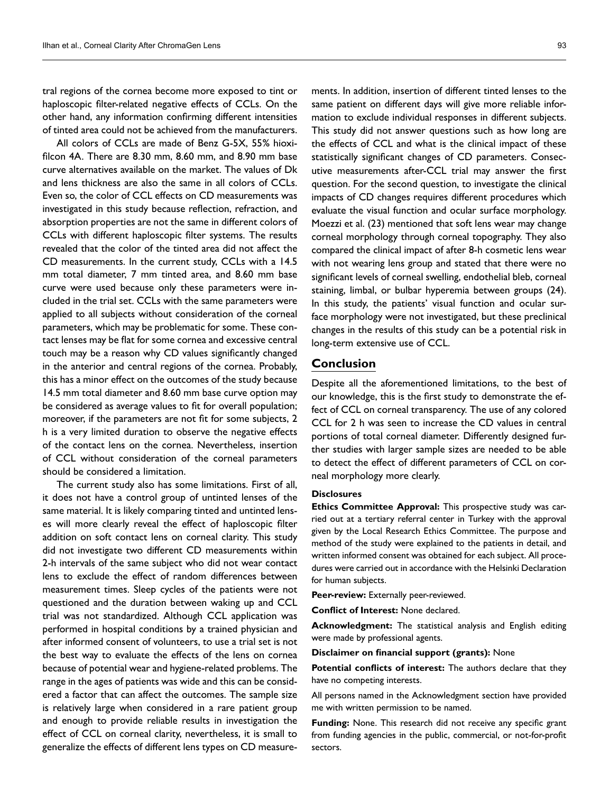tral regions of the cornea become more exposed to tint or haploscopic filter-related negative effects of CCLs. On the other hand, any information confirming different intensities of tinted area could not be achieved from the manufacturers.

All colors of CCLs are made of Benz G-5X, 55% hioxifilcon 4A. There are 8.30 mm, 8.60 mm, and 8.90 mm base curve alternatives available on the market. The values of Dk and lens thickness are also the same in all colors of CCLs. Even so, the color of CCL effects on CD measurements was investigated in this study because reflection, refraction, and absorption properties are not the same in different colors of CCLs with different haploscopic filter systems. The results revealed that the color of the tinted area did not affect the CD measurements. In the current study, CCLs with a 14.5 mm total diameter, 7 mm tinted area, and 8.60 mm base curve were used because only these parameters were included in the trial set. CCLs with the same parameters were applied to all subjects without consideration of the corneal parameters, which may be problematic for some. These contact lenses may be flat for some cornea and excessive central touch may be a reason why CD values significantly changed in the anterior and central regions of the cornea. Probably, this has a minor effect on the outcomes of the study because 14.5 mm total diameter and 8.60 mm base curve option may be considered as average values to fit for overall population; moreover, if the parameters are not fit for some subjects, 2 h is a very limited duration to observe the negative effects of the contact lens on the cornea. Nevertheless, insertion of CCL without consideration of the corneal parameters should be considered a limitation.

The current study also has some limitations. First of all, it does not have a control group of untinted lenses of the same material. It is likely comparing tinted and untinted lenses will more clearly reveal the effect of haploscopic filter addition on soft contact lens on corneal clarity. This study did not investigate two different CD measurements within 2-h intervals of the same subject who did not wear contact lens to exclude the effect of random differences between measurement times. Sleep cycles of the patients were not questioned and the duration between waking up and CCL trial was not standardized. Although CCL application was performed in hospital conditions by a trained physician and after informed consent of volunteers, to use a trial set is not the best way to evaluate the effects of the lens on cornea because of potential wear and hygiene-related problems. The range in the ages of patients was wide and this can be considered a factor that can affect the outcomes. The sample size is relatively large when considered in a rare patient group and enough to provide reliable results in investigation the effect of CCL on corneal clarity, nevertheless, it is small to generalize the effects of different lens types on CD measure-

ments. In addition, insertion of different tinted lenses to the same patient on different days will give more reliable information to exclude individual responses in different subjects. This study did not answer questions such as how long are the effects of CCL and what is the clinical impact of these statistically significant changes of CD parameters. Consecutive measurements after-CCL trial may answer the first question. For the second question, to investigate the clinical impacts of CD changes requires different procedures which evaluate the visual function and ocular surface morphology. Moezzi et al. (23) mentioned that soft lens wear may change corneal morphology through corneal topography. They also compared the clinical impact of after 8-h cosmetic lens wear with not wearing lens group and stated that there were no significant levels of corneal swelling, endothelial bleb, corneal staining, limbal, or bulbar hyperemia between groups (24). In this study, the patients' visual function and ocular surface morphology were not investigated, but these preclinical changes in the results of this study can be a potential risk in long-term extensive use of CCL.

## **Conclusion**

Despite all the aforementioned limitations, to the best of our knowledge, this is the first study to demonstrate the effect of CCL on corneal transparency. The use of any colored CCL for 2 h was seen to increase the CD values in central portions of total corneal diameter. Differently designed further studies with larger sample sizes are needed to be able to detect the effect of different parameters of CCL on corneal morphology more clearly.

### **Disclosures**

**Ethics Committee Approval:** This prospective study was carried out at a tertiary referral center in Turkey with the approval given by the Local Research Ethics Committee. The purpose and method of the study were explained to the patients in detail, and written informed consent was obtained for each subject. All procedures were carried out in accordance with the Helsinki Declaration for human subjects.

**Peer-review:** Externally peer-reviewed.

**Conflict of Interest:** None declared.

**Acknowledgment:** The statistical analysis and English editing were made by professional agents.

**Disclaimer on financial support (grants):** None

**Potential conflicts of interest:** The authors declare that they have no competing interests.

All persons named in the Acknowledgment section have provided me with written permission to be named.

**Funding:** None. This research did not receive any specific grant from funding agencies in the public, commercial, or not-for-profit sectors.